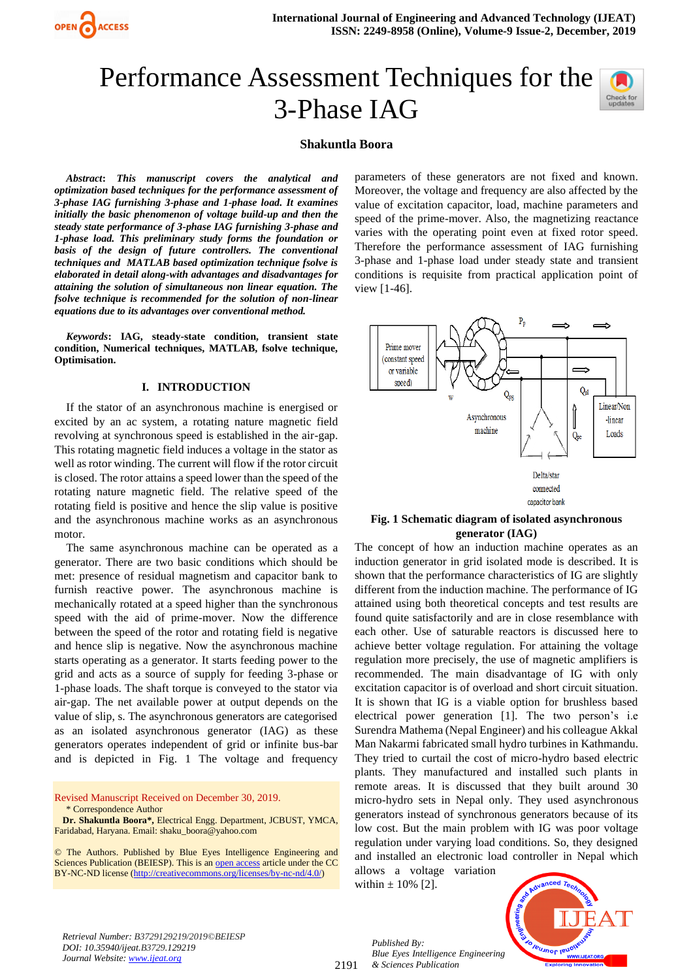# Performance Assessment Techniques for the 3-Phase IAG



## **Shakuntla Boora**

*Abstract***:** *This manuscript covers the analytical and optimization based techniques for the performance assessment of 3-phase IAG furnishing 3-phase and 1-phase load. It examines initially the basic phenomenon of voltage build-up and then the steady state performance of 3-phase IAG furnishing 3-phase and 1-phase load. This preliminary study forms the foundation or basis of the design of future controllers. The conventional techniques and MATLAB based optimization technique fsolve is elaborated in detail along-with advantages and disadvantages for attaining the solution of simultaneous non linear equation. The fsolve technique is recommended for the solution of non-linear equations due to its advantages over conventional method.* 

*Keywords***: IAG, steady-state condition, transient state condition, Numerical techniques, MATLAB, fsolve technique, Optimisation.**

#### **I. INTRODUCTION**

If the stator of an asynchronous machine is energised or excited by an ac system, a rotating nature magnetic field revolving at synchronous speed is established in the air-gap. This rotating magnetic field induces a voltage in the stator as well as rotor winding. The current will flow if the rotor circuit is closed. The rotor attains a speed lower than the speed of the rotating nature magnetic field. The relative speed of the rotating field is positive and hence the slip value is positive and the asynchronous machine works as an asynchronous motor.

The same asynchronous machine can be operated as a generator. There are two basic conditions which should be met: presence of residual magnetism and capacitor bank to furnish reactive power. The asynchronous machine is mechanically rotated at a speed higher than the synchronous speed with the aid of prime-mover. Now the difference between the speed of the rotor and rotating field is negative and hence slip is negative. Now the asynchronous machine starts operating as a generator. It starts feeding power to the grid and acts as a source of supply for feeding 3-phase or 1-phase loads. The shaft torque is conveyed to the stator via air-gap. The net available power at output depends on the value of slip, s. The asynchronous generators are categorised as an isolated asynchronous generator (IAG) as these generators operates independent of grid or infinite bus-bar and is depicted in Fig. 1 The voltage and frequency

Revised Manuscript Received on December 30, 2019. \* Correspondence Author

**Dr. Shakuntla Boora\*,** Electrical Engg. Department, JCBUST, YMCA, Faridabad, Haryana. Email: shaku\_boora@yahoo.com

© The Authors. Published by Blue Eyes Intelligence Engineering and Sciences Publication (BEIESP). This is a[n open access](https://www.openaccess.nl/en/open-publications) article under the CC BY-NC-ND license [\(http://creativecommons.org/licenses/by-nc-nd/4.0/\)](http://creativecommons.org/licenses/by-nc-nd/4.0/)

parameters of these generators are not fixed and known. Moreover, the voltage and frequency are also affected by the value of excitation capacitor, load, machine parameters and speed of the prime-mover. Also, the magnetizing reactance varies with the operating point even at fixed rotor speed. Therefore the performance assessment of IAG furnishing 3-phase and 1-phase load under steady state and transient conditions is requisite from practical application point of view [1-46].



## **Fig. 1 Schematic diagram of isolated asynchronous generator (IAG)**

The concept of how an induction machine operates as an induction generator in grid isolated mode is described. It is shown that the performance characteristics of IG are slightly different from the induction machine. The performance of IG attained using both theoretical concepts and test results are found quite satisfactorily and are in close resemblance with each other. Use of saturable reactors is discussed here to achieve better voltage regulation. For attaining the voltage regulation more precisely, the use of magnetic amplifiers is recommended. The main disadvantage of IG with only excitation capacitor is of overload and short circuit situation. It is shown that IG is a viable option for brushless based electrical power generation [1]. The two person's i.e Surendra Mathema (Nepal Engineer) and his colleague Akkal Man Nakarmi fabricated small hydro turbines in Kathmandu. They tried to curtail the cost of micro-hydro based electric plants. They manufactured and installed such plants in remote areas. It is discussed that they built around 30 micro-hydro sets in Nepal only. They used asynchronous generators instead of synchronous generators because of its low cost. But the main problem with IG was poor voltage regulation under varying load conditions. So, they designed and installed an electronic load controller in Nepal which

allows a voltage variation within  $\pm$  10% [2].



*Retrieval Number: B3729129219/2019©BEIESP DOI: 10.35940/ijeat.B3729.129219 Journal Website[: www.ijeat.org](http://www.ijeat.org/)*

2191

*Published By: Blue Eyes Intelligence Engineering & Sciences Publication*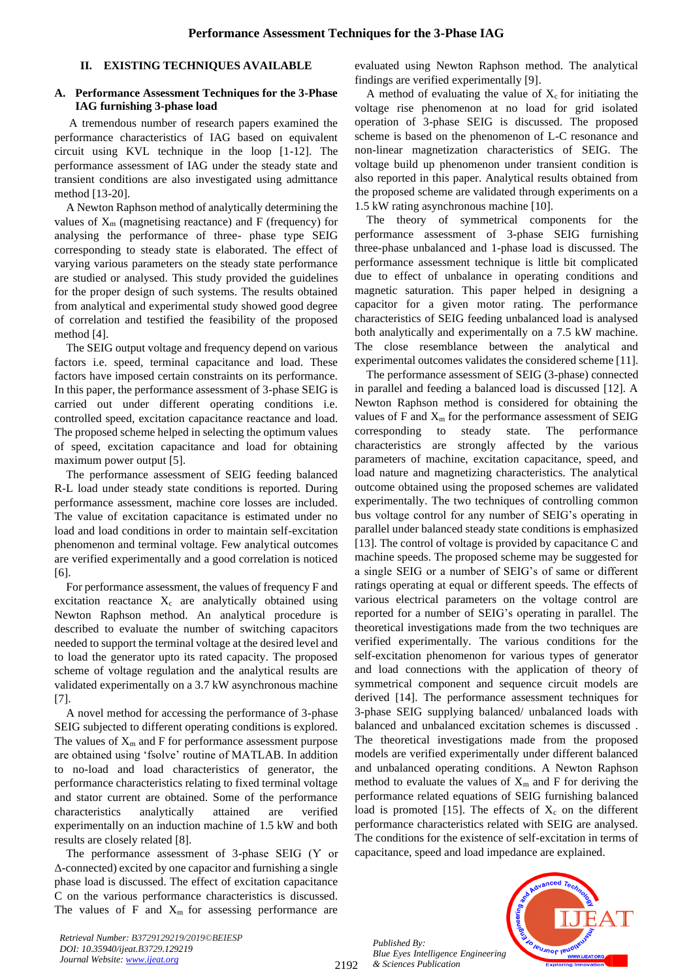#### **II. EXISTING TECHNIQUES AVAILABLE**

#### **A. Performance Assessment Techniques for the 3-Phase IAG furnishing 3-phase load**

A tremendous number of research papers examined the performance characteristics of IAG based on equivalent circuit using KVL technique in the loop [1-12]. The performance assessment of IAG under the steady state and transient conditions are also investigated using admittance method [13-20].

A Newton Raphson method of analytically determining the values of  $X_m$  (magnetising reactance) and F (frequency) for analysing the performance of three- phase type SEIG corresponding to steady state is elaborated. The effect of varying various parameters on the steady state performance are studied or analysed. This study provided the guidelines for the proper design of such systems. The results obtained from analytical and experimental study showed good degree of correlation and testified the feasibility of the proposed method [4].

The SEIG output voltage and frequency depend on various factors i.e. speed, terminal capacitance and load. These factors have imposed certain constraints on its performance. In this paper, the performance assessment of 3-phase SEIG is carried out under different operating conditions i.e. controlled speed, excitation capacitance reactance and load. The proposed scheme helped in selecting the optimum values of speed, excitation capacitance and load for obtaining maximum power output [5].

The performance assessment of SEIG feeding balanced R-L load under steady state conditions is reported. During performance assessment, machine core losses are included. The value of excitation capacitance is estimated under no load and load conditions in order to maintain self-excitation phenomenon and terminal voltage. Few analytical outcomes are verified experimentally and a good correlation is noticed [6].

For performance assessment, the values of frequency F and excitation reactance  $X_c$  are analytically obtained using Newton Raphson method. An analytical procedure is described to evaluate the number of switching capacitors needed to support the terminal voltage at the desired level and to load the generator upto its rated capacity. The proposed scheme of voltage regulation and the analytical results are validated experimentally on a 3.7 kW asynchronous machine [7].

A novel method for accessing the performance of 3-phase SEIG subjected to different operating conditions is explored. The values of  $X_m$  and F for performance assessment purpose are obtained using 'fsolve' routine of MATLAB. In addition to no-load and load characteristics of generator, the performance characteristics relating to fixed terminal voltage and stator current are obtained. Some of the performance characteristics analytically attained are verified experimentally on an induction machine of 1.5 kW and both results are closely related [8].

The performance assessment of 3-phase SEIG (Ƴ or Δ-connected) excited by one capacitor and furnishing a single phase load is discussed. The effect of excitation capacitance C on the various performance characteristics is discussed. The values of F and  $X<sub>m</sub>$  for assessing performance are evaluated using Newton Raphson method. The analytical findings are verified experimentally [9].

A method of evaluating the value of  $X_c$  for initiating the voltage rise phenomenon at no load for grid isolated operation of 3-phase SEIG is discussed. The proposed scheme is based on the phenomenon of L-C resonance and non-linear magnetization characteristics of SEIG. The voltage build up phenomenon under transient condition is also reported in this paper. Analytical results obtained from the proposed scheme are validated through experiments on a 1.5 kW rating asynchronous machine [10].

The theory of symmetrical components for the performance assessment of 3-phase SEIG furnishing three-phase unbalanced and 1-phase load is discussed. The performance assessment technique is little bit complicated due to effect of unbalance in operating conditions and magnetic saturation. This paper helped in designing a capacitor for a given motor rating. The performance characteristics of SEIG feeding unbalanced load is analysed both analytically and experimentally on a 7.5 kW machine. The close resemblance between the analytical and experimental outcomes validates the considered scheme [11].

The performance assessment of SEIG (3-phase) connected in parallel and feeding a balanced load is discussed [12]. A Newton Raphson method is considered for obtaining the values of  $F$  and  $X_m$  for the performance assessment of SEIG corresponding to steady state. The performance characteristics are strongly affected by the various parameters of machine, excitation capacitance, speed, and load nature and magnetizing characteristics. The analytical outcome obtained using the proposed schemes are validated experimentally. The two techniques of controlling common bus voltage control for any number of SEIG's operating in parallel under balanced steady state conditions is emphasized [13]. The control of voltage is provided by capacitance C and machine speeds. The proposed scheme may be suggested for a single SEIG or a number of SEIG's of same or different ratings operating at equal or different speeds. The effects of various electrical parameters on the voltage control are reported for a number of SEIG's operating in parallel. The theoretical investigations made from the two techniques are verified experimentally. The various conditions for the self-excitation phenomenon for various types of generator and load connections with the application of theory of symmetrical component and sequence circuit models are derived [14]. The performance assessment techniques for 3-phase SEIG supplying balanced/ unbalanced loads with balanced and unbalanced excitation schemes is discussed . The theoretical investigations made from the proposed models are verified experimentally under different balanced and unbalanced operating conditions. A Newton Raphson method to evaluate the values of  $X_m$  and F for deriving the performance related equations of SEIG furnishing balanced load is promoted [15]. The effects of  $X_c$  on the different performance characteristics related with SEIG are analysed. The conditions for the existence of self-excitation in terms of capacitance, speed and load impedance are explained.

*Published By: Blue Eyes Intelligence Engineering & Sciences Publication* 

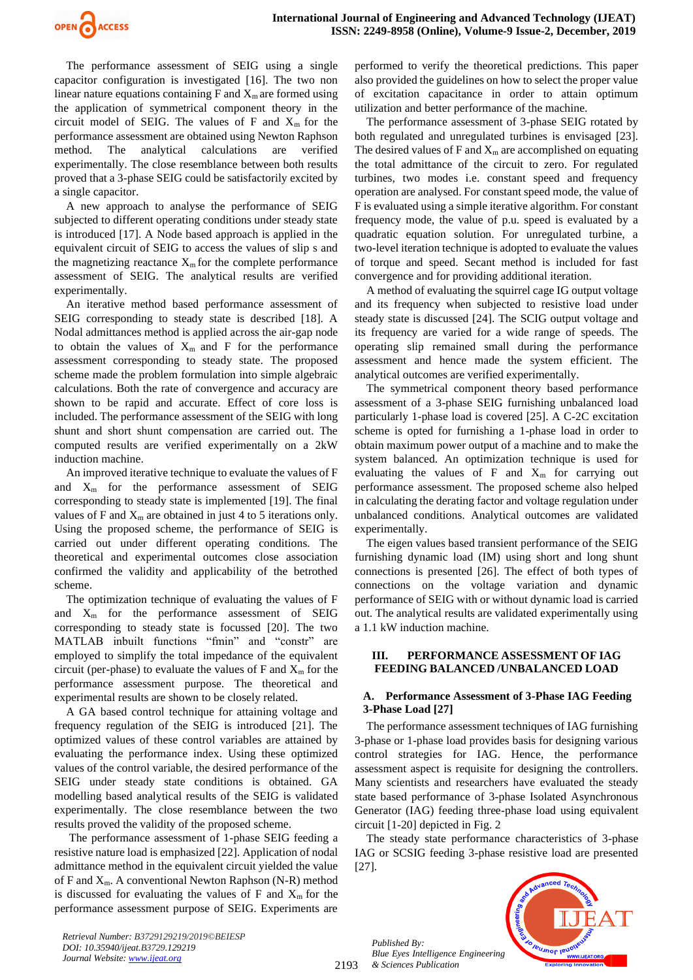

The performance assessment of SEIG using a single capacitor configuration is investigated [16]. The two non linear nature equations containing  $F$  and  $X<sub>m</sub>$  are formed using the application of symmetrical component theory in the circuit model of SEIG. The values of F and  $X<sub>m</sub>$  for the performance assessment are obtained using Newton Raphson method. The analytical calculations are verified experimentally. The close resemblance between both results proved that a 3-phase SEIG could be satisfactorily excited by a single capacitor.

A new approach to analyse the performance of SEIG subjected to different operating conditions under steady state is introduced [17]. A Node based approach is applied in the equivalent circuit of SEIG to access the values of slip s and the magnetizing reactance  $X_m$  for the complete performance assessment of SEIG. The analytical results are verified experimentally.

An iterative method based performance assessment of SEIG corresponding to steady state is described [18]. A Nodal admittances method is applied across the air-gap node to obtain the values of  $X_m$  and F for the performance assessment corresponding to steady state. The proposed scheme made the problem formulation into simple algebraic calculations. Both the rate of convergence and accuracy are shown to be rapid and accurate. Effect of core loss is included. The performance assessment of the SEIG with long shunt and short shunt compensation are carried out. The computed results are verified experimentally on a 2kW induction machine.

An improved iterative technique to evaluate the values of F and  $X_m$  for the performance assessment of SEIG corresponding to steady state is implemented [19]. The final values of F and  $X<sub>m</sub>$  are obtained in just 4 to 5 iterations only. Using the proposed scheme, the performance of SEIG is carried out under different operating conditions. The theoretical and experimental outcomes close association confirmed the validity and applicability of the betrothed scheme.

The optimization technique of evaluating the values of F and  $X_m$  for the performance assessment of SEIG corresponding to steady state is focussed [20]. The two MATLAB inbuilt functions "fmin" and "constr" are employed to simplify the total impedance of the equivalent circuit (per-phase) to evaluate the values of  $F$  and  $X<sub>m</sub>$  for the performance assessment purpose. The theoretical and experimental results are shown to be closely related.

A GA based control technique for attaining voltage and frequency regulation of the SEIG is introduced [21]. The optimized values of these control variables are attained by evaluating the performance index. Using these optimized values of the control variable, the desired performance of the SEIG under steady state conditions is obtained. GA modelling based analytical results of the SEIG is validated experimentally. The close resemblance between the two results proved the validity of the proposed scheme.

The performance assessment of 1-phase SEIG feeding a resistive nature load is emphasized [22]. Application of nodal admittance method in the equivalent circuit yielded the value of F and  $X_m$ . A conventional Newton Raphson (N-R) method is discussed for evaluating the values of  $F$  and  $X<sub>m</sub>$  for the performance assessment purpose of SEIG. Experiments are performed to verify the theoretical predictions. This paper also provided the guidelines on how to select the proper value of excitation capacitance in order to attain optimum utilization and better performance of the machine.

The performance assessment of 3-phase SEIG rotated by both regulated and unregulated turbines is envisaged [23]. The desired values of F and  $X_m$  are accomplished on equating the total admittance of the circuit to zero. For regulated turbines, two modes i.e. constant speed and frequency operation are analysed. For constant speed mode, the value of F is evaluated using a simple iterative algorithm. For constant frequency mode, the value of p.u. speed is evaluated by a quadratic equation solution. For unregulated turbine, a two-level iteration technique is adopted to evaluate the values of torque and speed. Secant method is included for fast convergence and for providing additional iteration.

A method of evaluating the squirrel cage IG output voltage and its frequency when subjected to resistive load under steady state is discussed [24]. The SCIG output voltage and its frequency are varied for a wide range of speeds. The operating slip remained small during the performance assessment and hence made the system efficient. The analytical outcomes are verified experimentally.

The symmetrical component theory based performance assessment of a 3-phase SEIG furnishing unbalanced load particularly 1-phase load is covered [25]. A C-2C excitation scheme is opted for furnishing a 1-phase load in order to obtain maximum power output of a machine and to make the system balanced. An optimization technique is used for evaluating the values of F and  $X<sub>m</sub>$  for carrying out performance assessment. The proposed scheme also helped in calculating the derating factor and voltage regulation under unbalanced conditions. Analytical outcomes are validated experimentally.

The eigen values based transient performance of the SEIG furnishing dynamic load (IM) using short and long shunt connections is presented [26]. The effect of both types of connections on the voltage variation and dynamic performance of SEIG with or without dynamic load is carried out. The analytical results are validated experimentally using a 1.1 kW induction machine.

## **III. PERFORMANCE ASSESSMENT OF IAG FEEDING BALANCED /UNBALANCED LOAD**

# **A. Performance Assessment of 3-Phase IAG Feeding 3-Phase Load [27]**

The performance assessment techniques of IAG furnishing 3-phase or 1-phase load provides basis for designing various control strategies for IAG. Hence, the performance assessment aspect is requisite for designing the controllers. Many scientists and researchers have evaluated the steady state based performance of 3-phase Isolated Asynchronous Generator (IAG) feeding three-phase load using equivalent circuit [1-20] depicted in Fig. 2

The steady state performance characteristics of 3-phase IAG or SCSIG feeding 3-phase resistive load are presented [27].

*Published By: Blue Eyes Intelligence Engineering & Sciences Publication* 

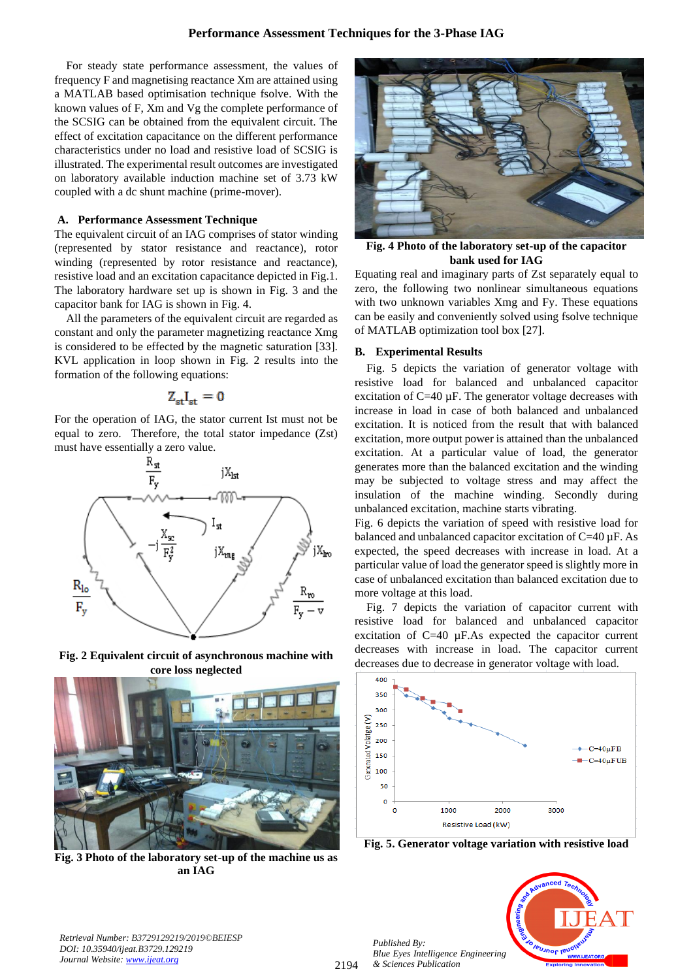For steady state performance assessment, the values of frequency F and magnetising reactance Xm are attained using a MATLAB based optimisation technique fsolve. With the known values of F, Xm and Vg the complete performance of the SCSIG can be obtained from the equivalent circuit. The effect of excitation capacitance on the different performance characteristics under no load and resistive load of SCSIG is illustrated. The experimental result outcomes are investigated on laboratory available induction machine set of 3.73 kW coupled with a dc shunt machine (prime-mover).

#### **A. Performance Assessment Technique**

The equivalent circuit of an IAG comprises of stator winding (represented by stator resistance and reactance), rotor winding (represented by rotor resistance and reactance), resistive load and an excitation capacitance depicted in Fig.1. The laboratory hardware set up is shown in Fig. 3 and the capacitor bank for IAG is shown in Fig. 4.

All the parameters of the equivalent circuit are regarded as constant and only the parameter magnetizing reactance Xmg is considered to be effected by the magnetic saturation [33]. KVL application in loop shown in Fig. 2 results into the formation of the following equations:

$$
Z_{\rm st}I_{\rm st}=0
$$

For the operation of IAG, the stator current Ist must not be equal to zero. Therefore, the total stator impedance (Zst) must have essentially a zero value.



**Fig. 2 Equivalent circuit of asynchronous machine with core loss neglected**



**Fig. 3 Photo of the laboratory set-up of the machine us as an IAG**



**Fig. 4 Photo of the laboratory set-up of the capacitor bank used for IAG**

Equating real and imaginary parts of Zst separately equal to zero, the following two nonlinear simultaneous equations with two unknown variables Xmg and Fy. These equations can be easily and conveniently solved using fsolve technique of MATLAB optimization tool box [27].

#### **B. Experimental Results**

Fig. 5 depicts the variation of generator voltage with resistive load for balanced and unbalanced capacitor excitation of  $C=40 \mu F$ . The generator voltage decreases with increase in load in case of both balanced and unbalanced excitation. It is noticed from the result that with balanced excitation, more output power is attained than the unbalanced excitation. At a particular value of load, the generator generates more than the balanced excitation and the winding may be subjected to voltage stress and may affect the insulation of the machine winding. Secondly during unbalanced excitation, machine starts vibrating.

Fig. 6 depicts the variation of speed with resistive load for balanced and unbalanced capacitor excitation of C=40 µF. As expected, the speed decreases with increase in load. At a particular value of load the generator speed is slightly more in case of unbalanced excitation than balanced excitation due to more voltage at this load.

Fig. 7 depicts the variation of capacitor current with resistive load for balanced and unbalanced capacitor excitation of C=40 µF.As expected the capacitor current decreases with increase in load. The capacitor current decreases due to decrease in generator voltage with load.



**Fig. 5. Generator voltage variation with resistive load**



*Published By:*

*& Sciences Publication*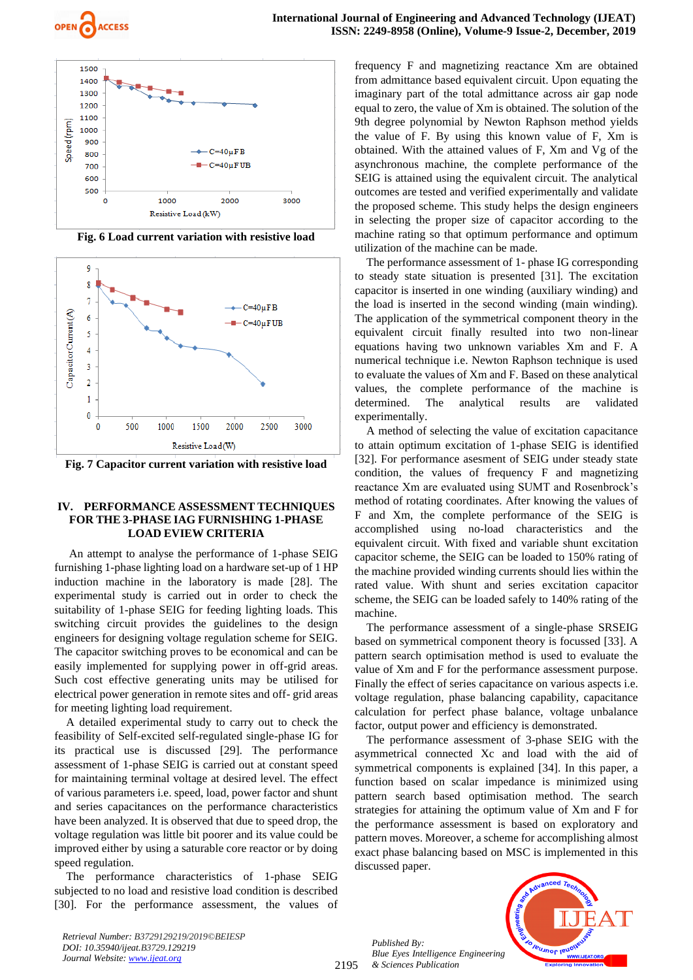



**Fig. 6 Load current variation with resistive load**



**Fig. 7 Capacitor current variation with resistive load**

### **IV. PERFORMANCE ASSESSMENT TECHNIQUES FOR THE 3-PHASE IAG FURNISHING 1-PHASE LOAD EVIEW CRITERIA**

An attempt to analyse the performance of 1-phase SEIG furnishing 1-phase lighting load on a hardware set-up of 1 HP induction machine in the laboratory is made [28]. The experimental study is carried out in order to check the suitability of 1-phase SEIG for feeding lighting loads. This switching circuit provides the guidelines to the design engineers for designing voltage regulation scheme for SEIG. The capacitor switching proves to be economical and can be easily implemented for supplying power in off-grid areas. Such cost effective generating units may be utilised for electrical power generation in remote sites and off- grid areas for meeting lighting load requirement.

A detailed experimental study to carry out to check the feasibility of Self-excited self-regulated single-phase IG for its practical use is discussed [29]. The performance assessment of 1-phase SEIG is carried out at constant speed for maintaining terminal voltage at desired level. The effect of various parameters i.e. speed, load, power factor and shunt and series capacitances on the performance characteristics have been analyzed. It is observed that due to speed drop, the voltage regulation was little bit poorer and its value could be improved either by using a saturable core reactor or by doing speed regulation.

The performance characteristics of 1-phase SEIG subjected to no load and resistive load condition is described [30]. For the performance assessment, the values of frequency F and magnetizing reactance Xm are obtained from admittance based equivalent circuit. Upon equating the imaginary part of the total admittance across air gap node equal to zero, the value of Xm is obtained. The solution of the 9th degree polynomial by Newton Raphson method yields the value of F. By using this known value of F, Xm is obtained. With the attained values of F, Xm and Vg of the asynchronous machine, the complete performance of the SEIG is attained using the equivalent circuit. The analytical outcomes are tested and verified experimentally and validate the proposed scheme. This study helps the design engineers in selecting the proper size of capacitor according to the machine rating so that optimum performance and optimum utilization of the machine can be made.

The performance assessment of 1- phase IG corresponding to steady state situation is presented [31]. The excitation capacitor is inserted in one winding (auxiliary winding) and the load is inserted in the second winding (main winding). The application of the symmetrical component theory in the equivalent circuit finally resulted into two non-linear equations having two unknown variables Xm and F. A numerical technique i.e. Newton Raphson technique is used to evaluate the values of Xm and F. Based on these analytical values, the complete performance of the machine is determined. The analytical results are validated experimentally.

A method of selecting the value of excitation capacitance to attain optimum excitation of 1-phase SEIG is identified [32]. For performance asesment of SEIG under steady state condition, the values of frequency F and magnetizing reactance Xm are evaluated using SUMT and Rosenbrock's method of rotating coordinates. After knowing the values of F and Xm, the complete performance of the SEIG is accomplished using no-load characteristics and the equivalent circuit. With fixed and variable shunt excitation capacitor scheme, the SEIG can be loaded to 150% rating of the machine provided winding currents should lies within the rated value. With shunt and series excitation capacitor scheme, the SEIG can be loaded safely to 140% rating of the machine.

The performance assessment of a single-phase SRSEIG based on symmetrical component theory is focussed [33]. A pattern search optimisation method is used to evaluate the value of Xm and F for the performance assessment purpose. Finally the effect of series capacitance on various aspects i.e. voltage regulation, phase balancing capability, capacitance calculation for perfect phase balance, voltage unbalance factor, output power and efficiency is demonstrated.

The performance assessment of 3-phase SEIG with the asymmetrical connected Xc and load with the aid of symmetrical components is explained [34]. In this paper, a function based on scalar impedance is minimized using pattern search based optimisation method. The search strategies for attaining the optimum value of Xm and F for the performance assessment is based on exploratory and pattern moves. Moreover, a scheme for accomplishing almost exact phase balancing based on MSC is implemented in this discussed paper.

*Published By: Blue Eyes Intelligence Engineering & Sciences Publication* 

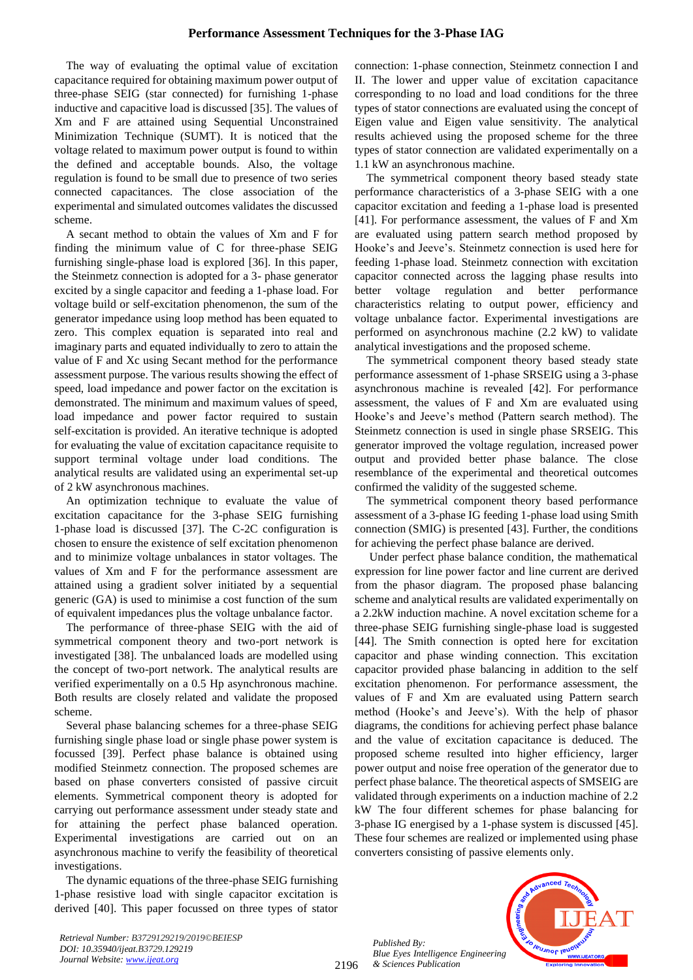## **Performance Assessment Techniques for the 3-Phase IAG**

The way of evaluating the optimal value of excitation capacitance required for obtaining maximum power output of three-phase SEIG (star connected) for furnishing 1-phase inductive and capacitive load is discussed [35]. The values of Xm and F are attained using Sequential Unconstrained Minimization Technique (SUMT). It is noticed that the voltage related to maximum power output is found to within the defined and acceptable bounds. Also, the voltage regulation is found to be small due to presence of two series connected capacitances. The close association of the experimental and simulated outcomes validates the discussed scheme.

A secant method to obtain the values of Xm and F for finding the minimum value of C for three-phase SEIG furnishing single-phase load is explored [36]. In this paper, the Steinmetz connection is adopted for a 3- phase generator excited by a single capacitor and feeding a 1-phase load. For voltage build or self-excitation phenomenon, the sum of the generator impedance using loop method has been equated to zero. This complex equation is separated into real and imaginary parts and equated individually to zero to attain the value of F and Xc using Secant method for the performance assessment purpose. The various results showing the effect of speed, load impedance and power factor on the excitation is demonstrated. The minimum and maximum values of speed, load impedance and power factor required to sustain self-excitation is provided. An iterative technique is adopted for evaluating the value of excitation capacitance requisite to support terminal voltage under load conditions. The analytical results are validated using an experimental set-up of 2 kW asynchronous machines.

An optimization technique to evaluate the value of excitation capacitance for the 3-phase SEIG furnishing 1-phase load is discussed [37]. The C-2C configuration is chosen to ensure the existence of self excitation phenomenon and to minimize voltage unbalances in stator voltages. The values of Xm and F for the performance assessment are attained using a gradient solver initiated by a sequential generic (GA) is used to minimise a cost function of the sum of equivalent impedances plus the voltage unbalance factor.

The performance of three-phase SEIG with the aid of symmetrical component theory and two-port network is investigated [38]. The unbalanced loads are modelled using the concept of two-port network. The analytical results are verified experimentally on a 0.5 Hp asynchronous machine. Both results are closely related and validate the proposed scheme.

Several phase balancing schemes for a three-phase SEIG furnishing single phase load or single phase power system is focussed [39]. Perfect phase balance is obtained using modified Steinmetz connection. The proposed schemes are based on phase converters consisted of passive circuit elements. Symmetrical component theory is adopted for carrying out performance assessment under steady state and for attaining the perfect phase balanced operation. Experimental investigations are carried out on an asynchronous machine to verify the feasibility of theoretical investigations.

The dynamic equations of the three-phase SEIG furnishing 1-phase resistive load with single capacitor excitation is derived [40]. This paper focussed on three types of stator connection: 1-phase connection, Steinmetz connection I and II. The lower and upper value of excitation capacitance corresponding to no load and load conditions for the three types of stator connections are evaluated using the concept of Eigen value and Eigen value sensitivity. The analytical results achieved using the proposed scheme for the three types of stator connection are validated experimentally on a 1.1 kW an asynchronous machine.

The symmetrical component theory based steady state performance characteristics of a 3-phase SEIG with a one capacitor excitation and feeding a 1-phase load is presented [41]. For performance assessment, the values of F and Xm are evaluated using pattern search method proposed by Hooke's and Jeeve's. Steinmetz connection is used here for feeding 1-phase load. Steinmetz connection with excitation capacitor connected across the lagging phase results into better voltage regulation and better performance characteristics relating to output power, efficiency and voltage unbalance factor. Experimental investigations are performed on asynchronous machine (2.2 kW) to validate analytical investigations and the proposed scheme.

The symmetrical component theory based steady state performance assessment of 1-phase SRSEIG using a 3-phase asynchronous machine is revealed [42]. For performance assessment, the values of F and Xm are evaluated using Hooke's and Jeeve's method (Pattern search method). The Steinmetz connection is used in single phase SRSEIG. This generator improved the voltage regulation, increased power output and provided better phase balance. The close resemblance of the experimental and theoretical outcomes confirmed the validity of the suggested scheme.

The symmetrical component theory based performance assessment of a 3-phase IG feeding 1-phase load using Smith connection (SMIG) is presented [43]. Further, the conditions for achieving the perfect phase balance are derived.

Under perfect phase balance condition, the mathematical expression for line power factor and line current are derived from the phasor diagram. The proposed phase balancing scheme and analytical results are validated experimentally on a 2.2kW induction machine. A novel excitation scheme for a three-phase SEIG furnishing single-phase load is suggested [44]. The Smith connection is opted here for excitation capacitor and phase winding connection. This excitation capacitor provided phase balancing in addition to the self excitation phenomenon. For performance assessment, the values of F and Xm are evaluated using Pattern search method (Hooke's and Jeeve's). With the help of phasor diagrams, the conditions for achieving perfect phase balance and the value of excitation capacitance is deduced. The proposed scheme resulted into higher efficiency, larger power output and noise free operation of the generator due to perfect phase balance. The theoretical aspects of SMSEIG are validated through experiments on a induction machine of 2.2 kW The four different schemes for phase balancing for 3-phase IG energised by a 1-phase system is discussed [45]. These four schemes are realized or implemented using phase converters consisting of passive elements only.

*Published By: Blue Eyes Intelligence Engineering & Sciences Publication* 



2196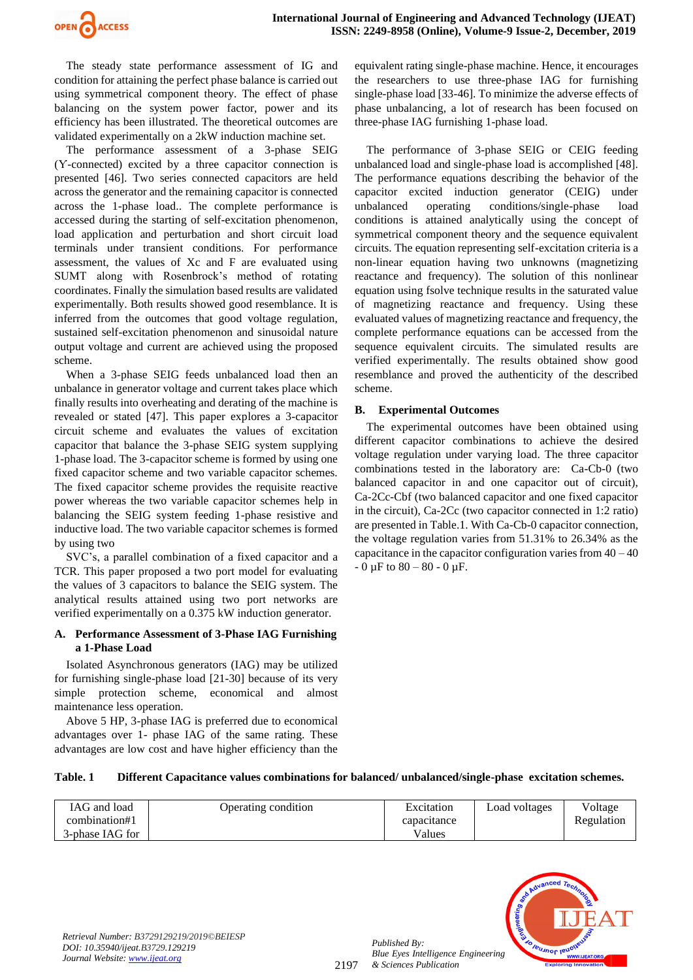

The steady state performance assessment of IG and condition for attaining the perfect phase balance is carried out using symmetrical component theory. The effect of phase balancing on the system power factor, power and its efficiency has been illustrated. The theoretical outcomes are validated experimentally on a 2kW induction machine set.

The performance assessment of a 3-phase SEIG (Ƴ-connected) excited by a three capacitor connection is presented [46]. Two series connected capacitors are held across the generator and the remaining capacitor is connected across the 1-phase load.. The complete performance is accessed during the starting of self-excitation phenomenon, load application and perturbation and short circuit load terminals under transient conditions. For performance assessment, the values of Xc and F are evaluated using SUMT along with Rosenbrock's method of rotating coordinates. Finally the simulation based results are validated experimentally. Both results showed good resemblance. It is inferred from the outcomes that good voltage regulation, sustained self-excitation phenomenon and sinusoidal nature output voltage and current are achieved using the proposed scheme.

When a 3-phase SEIG feeds unbalanced load then an unbalance in generator voltage and current takes place which finally results into overheating and derating of the machine is revealed or stated [47]. This paper explores a 3-capacitor circuit scheme and evaluates the values of excitation capacitor that balance the 3-phase SEIG system supplying 1-phase load. The 3-capacitor scheme is formed by using one fixed capacitor scheme and two variable capacitor schemes. The fixed capacitor scheme provides the requisite reactive power whereas the two variable capacitor schemes help in balancing the SEIG system feeding 1-phase resistive and inductive load. The two variable capacitor schemes is formed by using two

SVC's, a parallel combination of a fixed capacitor and a TCR. This paper proposed a two port model for evaluating the values of 3 capacitors to balance the SEIG system. The analytical results attained using two port networks are verified experimentally on a 0.375 kW induction generator.

## **A. Performance Assessment of 3-Phase IAG Furnishing a 1-Phase Load**

Isolated Asynchronous generators (IAG) may be utilized for furnishing single-phase load [21-30] because of its very simple protection scheme, economical and almost maintenance less operation.

Above 5 HP, 3-phase IAG is preferred due to economical advantages over 1- phase IAG of the same rating. These advantages are low cost and have higher efficiency than the equivalent rating single-phase machine. Hence, it encourages the researchers to use three-phase IAG for furnishing single-phase load [33-46]. To minimize the adverse effects of phase unbalancing, a lot of research has been focused on three-phase IAG furnishing 1-phase load.

The performance of 3-phase SEIG or CEIG feeding unbalanced load and single-phase load is accomplished [48]. The performance equations describing the behavior of the capacitor excited induction generator (CEIG) under unbalanced operating conditions/single-phase load conditions is attained analytically using the concept of symmetrical component theory and the sequence equivalent circuits. The equation representing self-excitation criteria is a non-linear equation having two unknowns (magnetizing reactance and frequency). The solution of this nonlinear equation using fsolve technique results in the saturated value of magnetizing reactance and frequency. Using these evaluated values of magnetizing reactance and frequency, the complete performance equations can be accessed from the sequence equivalent circuits. The simulated results are verified experimentally. The results obtained show good resemblance and proved the authenticity of the described scheme.

## **B. Experimental Outcomes**

The experimental outcomes have been obtained using different capacitor combinations to achieve the desired voltage regulation under varying load. The three capacitor combinations tested in the laboratory are: Ca-Cb-0 (two balanced capacitor in and one capacitor out of circuit), Ca-2Cc-Cbf (two balanced capacitor and one fixed capacitor in the circuit), Ca-2Cc (two capacitor connected in 1:2 ratio) are presented in Table.1. With Ca-Cb-0 capacitor connection, the voltage regulation varies from 51.31% to 26.34% as the capacitance in the capacitor configuration varies from 40 – 40  $-0 \mu$ F to 80 – 80 - 0  $\mu$ F.

#### **Table. 1 Different Capacitance values combinations for balanced/ unbalanced/single-phase excitation schemes.**

| IAG and load    | Operating condition | Excitation  | <b>Load</b> voltages | Voltage    |
|-----------------|---------------------|-------------|----------------------|------------|
| combination#1   |                     | capacitance |                      | Regulation |
| 3-phase IAG for |                     | Values      |                      |            |



*Published By:*

*& Sciences Publication*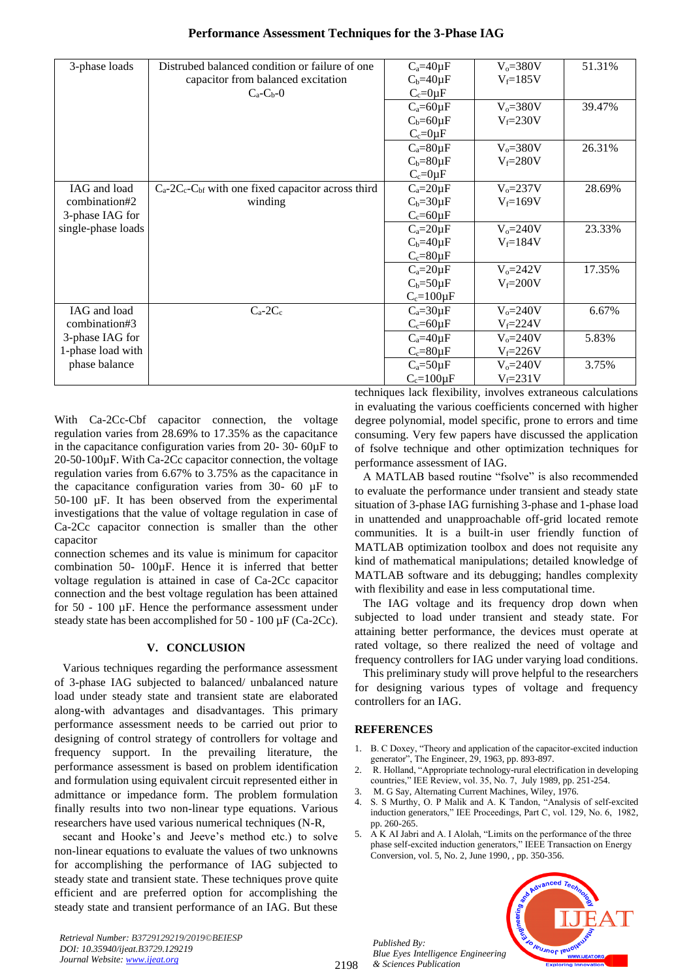| Performance Assessment Techniques for the 3-Phase IAG |  |  |  |
|-------------------------------------------------------|--|--|--|
|-------------------------------------------------------|--|--|--|

|                    | Distrubed balanced condition or failure of one               |                   |              |        |
|--------------------|--------------------------------------------------------------|-------------------|--------------|--------|
| 3-phase loads      |                                                              | $C_a=40\mu F$     | $V_o = 380V$ | 51.31% |
|                    | capacitor from balanced excitation                           | $C_b = 40 \mu F$  | $V_f = 185V$ |        |
|                    | $C_a-C_b-0$                                                  | $C_c=0\mu F$      |              |        |
|                    |                                                              | $C_a = 60 \mu F$  | $V_o = 380V$ | 39.47% |
|                    |                                                              | $C_b = 60 \mu F$  | $V_f = 230V$ |        |
|                    |                                                              | $C_c=0\mu F$      |              |        |
|                    |                                                              | $C_a = 80 \mu F$  | $Vo=380V$    | 26.31% |
|                    |                                                              | $C_b = 80 \mu F$  | $V_f = 280V$ |        |
|                    |                                                              | $C_c=0\mu F$      |              |        |
| IAG and load       | $C_a$ -2 $C_c$ - $C_b$ with one fixed capacitor across third | $C_a=20\mu F$     | $V_0 = 237V$ | 28.69% |
| combination#2      | winding                                                      | $C_b = 30 \mu F$  | $V_f = 169V$ |        |
| 3-phase IAG for    |                                                              | $C_c = 60 \mu F$  |              |        |
| single-phase loads |                                                              | $C_a = 20\mu F$   | $V_o = 240V$ | 23.33% |
|                    |                                                              | $C_b = 40 \mu F$  | $V_f = 184V$ |        |
|                    |                                                              | $C_c = 80 \mu F$  |              |        |
|                    |                                                              | $C_a = 20\mu F$   | $V_0 = 242V$ | 17.35% |
|                    |                                                              | $C_b = 50 \mu F$  | $V_f = 200V$ |        |
|                    |                                                              | $C_c = 100 \mu F$ |              |        |
| IAG and load       | $C_a-2C_c$                                                   | $C_a = 30\mu F$   | $V_0 = 240V$ | 6.67%  |
| combination#3      |                                                              | $C_c = 60 \mu F$  | $V_f = 224V$ |        |
| 3-phase IAG for    |                                                              | $C_a=40\mu F$     | $V_o = 240V$ | 5.83%  |
| 1-phase load with  |                                                              | $C_c = 80\mu F$   | $V_f = 226V$ |        |
| phase balance      |                                                              | $C_a = 50 \mu F$  | $V_0 = 240V$ | 3.75%  |
|                    |                                                              | $C_c = 100 \mu F$ | $V_f = 231V$ |        |

With Ca-2Cc-Cbf capacitor connection, the voltage regulation varies from 28.69% to 17.35% as the capacitance in the capacitance configuration varies from 20- 30- 60µF to 20-50-100µF. With Ca-2Cc capacitor connection, the voltage regulation varies from 6.67% to 3.75% as the capacitance in the capacitance configuration varies from  $30-60 \mu F$  to 50-100 µF. It has been observed from the experimental investigations that the value of voltage regulation in case of Ca-2Cc capacitor connection is smaller than the other capacitor

connection schemes and its value is minimum for capacitor combination 50- 100µF. Hence it is inferred that better voltage regulation is attained in case of Ca-2Cc capacitor connection and the best voltage regulation has been attained for 50 - 100 µF. Hence the performance assessment under steady state has been accomplished for 50 - 100 µF (Ca-2Cc).

#### **V. CONCLUSION**

Various techniques regarding the performance assessment of 3-phase IAG subjected to balanced/ unbalanced nature load under steady state and transient state are elaborated along-with advantages and disadvantages. This primary performance assessment needs to be carried out prior to designing of control strategy of controllers for voltage and frequency support. In the prevailing literature, the performance assessment is based on problem identification and formulation using equivalent circuit represented either in admittance or impedance form. The problem formulation finally results into two non-linear type equations. Various researchers have used various numerical techniques (N-R,

secant and Hooke's and Jeeve's method etc.) to solve non-linear equations to evaluate the values of two unknowns for accomplishing the performance of IAG subjected to steady state and transient state. These techniques prove quite efficient and are preferred option for accomplishing the steady state and transient performance of an IAG. But these techniques lack flexibility, involves extraneous calculations in evaluating the various coefficients concerned with higher degree polynomial, model specific, prone to errors and time consuming. Very few papers have discussed the application of fsolve technique and other optimization techniques for performance assessment of IAG.

A MATLAB based routine "fsolve" is also recommended to evaluate the performance under transient and steady state situation of 3-phase IAG furnishing 3-phase and 1-phase load in unattended and unapproachable off-grid located remote communities. It is a built-in user friendly function of MATLAB optimization toolbox and does not requisite any kind of mathematical manipulations; detailed knowledge of MATLAB software and its debugging; handles complexity with flexibility and ease in less computational time.

The IAG voltage and its frequency drop down when subjected to load under transient and steady state. For attaining better performance, the devices must operate at rated voltage, so there realized the need of voltage and frequency controllers for IAG under varying load conditions.

This preliminary study will prove helpful to the researchers for designing various types of voltage and frequency controllers for an IAG.

#### **REFERENCES**

- 1. B. C Doxey, "Theory and application of the capacitor-excited induction generator", The Engineer, 29, 1963, pp. 893-897.
- 2. R. Holland, "Appropriate technology-rural electrification in developing countries," IEE Review, vol. 35, No. 7, July 1989, pp. 251-254.
- 3. M. G Say, Alternating Current Machines, Wiley, 1976.
- 4. S. S Murthy, O. P Malik and A. K Tandon, "Analysis of self-excited induction generators," IEE Proceedings, Part C, vol. 129, No. 6, 1982, pp. 260-265.
- 5. A K AI Jabri and A. I Alolah, "Limits on the performance of the three phase self-excited induction generators," IEEE Transaction on Energy Conversion, vol. 5, No. 2, June 1990, , pp. 350-356.

*Published By: Blue Eyes Intelligence Engineering & Sciences Publication* 

2198

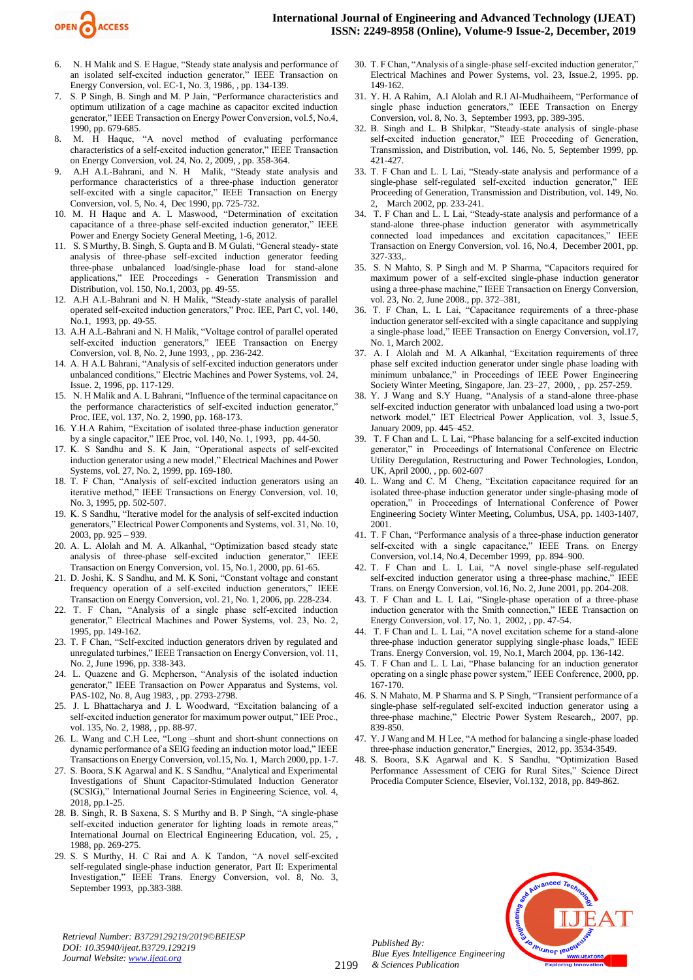

- 6. N. H Malik and S. E Hague, "Steady state analysis and performance of an isolated self-excited induction generator," IEEE Transaction on Energy Conversion, vol. EC-1, No. 3, 1986, , pp. 134-139.
- 7. S. P Singh, B. Singh and M. P Jain, "Performance characteristics and optimum utilization of a cage machine as capacitor excited induction generator," IEEE Transaction on Energy Power Conversion, vol.5, No.4, 1990, pp. 679-685.
- 8. M. H Haque, "A novel method of evaluating performance characteristics of a self-excited induction generator," IEEE Transaction on Energy Conversion, vol. 24, No. 2, 2009, , pp. 358-364.
- 9. A.H A.L-Bahrani, and N. H Malik, "Steady state analysis and performance characteristics of a three-phase induction generator self-excited with a single capacitor," IEEE Transaction on Energy Conversion, vol. 5, No. 4, Dec 1990, pp. 725-732.
- 10. M. H Haque and A. L Maswood, "Determination of excitation capacitance of a three-phase self-excited induction generator," IEEE Power and Energy Society General Meeting, 1-6, 2012.
- 11. S. S Murthy, B. Singh, S. Gupta and B. M Gulati, "General steady- state analysis of three-phase self-excited induction generator feeding three-phase unbalanced load/single-phase load for stand-alone applications," IEE Proceedings - Generation Transmission and Distribution, vol. 150, No.1, 2003, pp. 49-55.
- 12. A.H A.L-Bahrani and N. H Malik, "Steady-state analysis of parallel operated self-excited induction generators," Proc. IEE, Part C, vol. 140, No.1, 1993, pp. 49-55.
- 13. A.H A.L-Bahrani and N. H Malik, "Voltage control of parallel operated self-excited induction generators," IEEE Transaction on Energy Conversion, vol. 8, No. 2, June 1993, , pp. 236-242.
- 14. A. H A.L Bahrani, "Analysis of self-excited induction generators under unbalanced conditions," Electric Machines and Power Systems, vol. 24, Issue. 2, 1996, pp. 117-129.
- 15. N. H Malik and A. L Bahrani, "Influence of the terminal capacitance on the performance characteristics of self-excited induction generator," Proc. IEE, vol. 137, No. 2, 1990, pp. 168-173.
- 16. Y.H.A Rahim, "Excitation of isolated three-phase induction generator by a single capacitor," IEE Proc, vol. 140, No. 1, 1993, pp. 44-50.
- 17. K. S Sandhu and S. K Jain, "Operational aspects of self-excited induction generator using a new model," Electrical Machines and Power Systems, vol. 27, No. 2, 1999, pp. 169-180.
- 18. T. F Chan, "Analysis of self-excited induction generators using an iterative method," IEEE Transactions on Energy Conversion, vol. 10, No. 3, 1995, pp. 502-507.
- 19. K. S Sandhu, "Iterative model for the analysis of self-excited induction generators," Electrical Power Components and Systems, vol. 31, No. 10, 2003, pp. 925 – 939.
- 20. A. L. Alolah and M. A. Alkanhal, "Optimization based steady state analysis of three-phase self-excited induction generator," IEEE Transaction on Energy Conversion, vol. 15, No.1, 2000, pp. 61-65.
- 21. D. Joshi, K. S Sandhu, and M. K Soni, "Constant voltage and constant frequency operation of a self-excited induction generators," IEEE Transaction on Energy Conversion, vol. 21, No. 1, 2006, pp. 228-234.
- 22. T. F Chan, "Analysis of a single phase self-excited induction generator," Electrical Machines and Power Systems, vol. 23, No. 2, 1995, pp. 149-162.
- 23. T. F Chan, "Self-excited induction generators driven by regulated and unregulated turbines," IEEE Transaction on Energy Conversion, vol. 11, No. 2, June 1996, pp. 338-343.
- 24. L. Quazene and G. Mcpherson, "Analysis of the isolated induction generator," IEEE Transaction on Power Apparatus and Systems, vol. PAS-102, No. 8, Aug 1983, , pp. 2793-2798.
- 25. J. L Bhattacharya and J. L Woodward, "Excitation balancing of a self-excited induction generator for maximum power output," IEE Proc., vol. 135, No. 2, 1988, , pp. 88-97.
- 26. L. Wang and C.H Lee, "Long –shunt and short-shunt connections on dynamic performance of a SEIG feeding an induction motor load," IEEE Transactions on Energy Conversion, vol.15, No. 1, March 2000, pp. 1-7.
- 27. S. Boora, S.K Agarwal and K. S Sandhu, "Analytical and Experimental Investigations of Shunt Capacitor-Stimulated Induction Generator (SCSIG)," International Journal Series in Engineering Science, vol. 4, 2018, pp.1-25.
- 28. B. Singh, R. B Saxena, S. S Murthy and B. P Singh, "A single-phase self-excited induction generator for lighting loads in remote areas,' International Journal on Electrical Engineering Education, vol. 25, , 1988, pp. 269-275.
- 29. S. S Murthy, H. C Rai and A. K Tandon, "A novel self-excited self-regulated single-phase induction generator, Part II: Experimental Investigation," IEEE Trans. Energy Conversion, vol. 8, No. 3, September 1993, pp.383-388.
- 30. T. F Chan, "Analysis of a single-phase self-excited induction generator," Electrical Machines and Power Systems, vol. 23, Issue.2, 1995. pp. 149-162.
- 31. Y. H. A Rahim, A.I Alolah and R.I Al-Mudhaiheem, "Performance of single phase induction generators," IEEE Transaction on Energy Conversion, vol. 8, No. 3, September 1993, pp. 389-395.
- 32. B. Singh and L. B Shilpkar, "Steady-state analysis of single-phase self-excited induction generator," IEE Proceeding of Generation, Transmission, and Distribution, vol. 146, No. 5, September 1999, pp. 421-427.
- 33. T. F Chan and L. L Lai, "Steady-state analysis and performance of a single-phase self-regulated self-excited induction generator," IEE Proceeding of Generation, Transmission and Distribution, vol. 149, No. March 2002, pp. 233-241.
- 34. T. F Chan and L. L Lai, "Steady-state analysis and performance of a stand-alone three-phase induction generator with asymmetrically connected load impedances and excitation capacitances," IEEE Transaction on Energy Conversion, vol. 16, No.4, December 2001, pp. 327-333,.
- 35. S. N Mahto, S. P Singh and M. P Sharma, "Capacitors required for maximum power of a self-excited single-phase induction generator using a three-phase machine," IEEE Transaction on Energy Conversion, vol. 23, No. 2, June 2008., pp. 372–381,
- 36. T. F Chan, L. L Lai, "Capacitance requirements of a three-phase induction generator self-excited with a single capacitance and supplying a single-phase load," IEEE Transaction on Energy Conversion, vol.17, No. 1, March 2002.
- 37. A. I Alolah and M. A Alkanhal, "Excitation requirements of three phase self excited induction generator under single phase loading with minimum unbalance," in Proceedings of IEEE Power Engineering Society Winter Meeting, Singapore, Jan. 23–27, 2000, , pp. 257-259.
- 38. Y. J Wang and S.Y Huang, "Analysis of a stand-alone three-phase self-excited induction generator with unbalanced load using a two-port network model," IET Electrical Power Application, vol. 3, Issue.5, January 2009, pp. 445–452.
- 39. T. F Chan and L. L Lai, "Phase balancing for a self-excited induction generator," in Proceedings of International Conference on Electric Utility Deregulation, Restructuring and Power Technologies, London, UK, April 2000, , pp. 602-607
- 40. L. Wang and C. M Cheng, "Excitation capacitance required for an isolated three-phase induction generator under single-phasing mode of operation," in Proceedings of International Conference of Power Engineering Society Winter Meeting, Columbus, USA, pp. 1403-1407, 2001.
- 41. T. F Chan, "Performance analysis of a three-phase induction generator self-excited with a single capacitance," IEEE Trans. on Energy Conversion, vol.14, No.4, December 1999, pp. 894–900.
- 42. T. F Chan and L. L Lai, "A novel single-phase self-regulated self-excited induction generator using a three-phase machine," IEEE Trans. on Energy Conversion, vol.16, No. 2, June 2001, pp. 204-208.
- 43. T. F Chan and L. L Lai, "Single-phase operation of a three-phase induction generator with the Smith connection," IEEE Transaction on Energy Conversion, vol. 17, No. 1, 2002, , pp. 47-54.
- 44. T. F Chan and L. L Lai, "A novel excitation scheme for a stand-alone three-phase induction generator supplying single-phase loads," IEEE Trans. Energy Conversion, vol. 19, No.1, March 2004, pp. 136-142.
- 45. T. F Chan and L. L Lai, "Phase balancing for an induction generator operating on a single phase power system," IEEE Conference, 2000, pp. 167-170.
- 46. S. N Mahato, M. P Sharma and S. P Singh, "Transient performance of a single-phase self-regulated self-excited induction generator using a three-phase machine," Electric Power System Research,, 2007, pp. 839-850.
- 47. Y. J Wang and M. H Lee, "A method for balancing a single-phase loaded three-phase induction generator," Energies, 2012, pp. 3534-3549.
- 48. S. Boora, S.K Agarwal and K. S Sandhu, "Optimization Based Performance Assessment of CEIG for Rural Sites," Science Direct Procedia Computer Science, Elsevier, Vol.132, 2018, pp. 849-862.



*Retrieval Number: B3729129219/2019©BEIESP DOI: 10.35940/ijeat.B3729.129219 Journal Website[: www.ijeat.org](http://www.ijeat.org/)*

*Published By: Blue Eyes Intelligence Engineering & Sciences Publication*